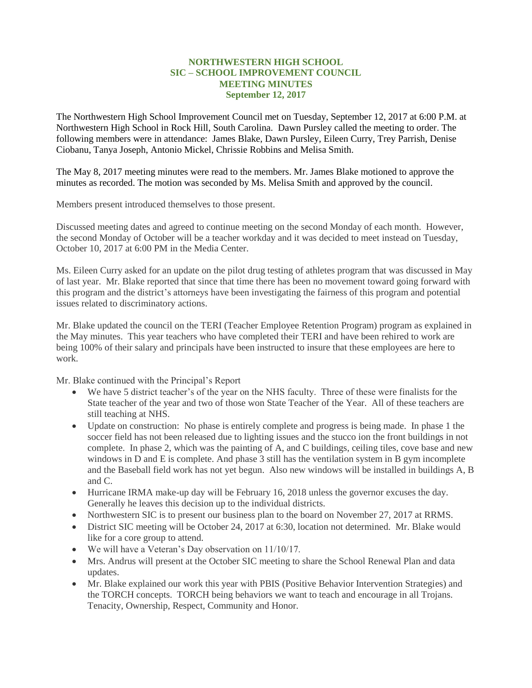## **NORTHWESTERN HIGH SCHOOL SIC – SCHOOL IMPROVEMENT COUNCIL MEETING MINUTES September 12, 2017**

The Northwestern High School Improvement Council met on Tuesday, September 12, 2017 at 6:00 P.M. at Northwestern High School in Rock Hill, South Carolina. Dawn Pursley called the meeting to order. The following members were in attendance: James Blake, Dawn Pursley, Eileen Curry, Trey Parrish, Denise Ciobanu, Tanya Joseph, Antonio Mickel, Chrissie Robbins and Melisa Smith.

The May 8, 2017 meeting minutes were read to the members. Mr. James Blake motioned to approve the minutes as recorded. The motion was seconded by Ms. Melisa Smith and approved by the council.

Members present introduced themselves to those present.

Discussed meeting dates and agreed to continue meeting on the second Monday of each month. However, the second Monday of October will be a teacher workday and it was decided to meet instead on Tuesday, October 10, 2017 at 6:00 PM in the Media Center.

Ms. Eileen Curry asked for an update on the pilot drug testing of athletes program that was discussed in May of last year. Mr. Blake reported that since that time there has been no movement toward going forward with this program and the district's attorneys have been investigating the fairness of this program and potential issues related to discriminatory actions.

Mr. Blake updated the council on the TERI (Teacher Employee Retention Program) program as explained in the May minutes. This year teachers who have completed their TERI and have been rehired to work are being 100% of their salary and principals have been instructed to insure that these employees are here to work.

Mr. Blake continued with the Principal's Report

- We have 5 district teacher's of the year on the NHS faculty. Three of these were finalists for the State teacher of the year and two of those won State Teacher of the Year. All of these teachers are still teaching at NHS.
- Update on construction: No phase is entirely complete and progress is being made. In phase 1 the soccer field has not been released due to lighting issues and the stucco ion the front buildings in not complete. In phase 2, which was the painting of A, and C buildings, ceiling tiles, cove base and new windows in D and E is complete. And phase 3 still has the ventilation system in B gym incomplete and the Baseball field work has not yet begun. Also new windows will be installed in buildings A, B and C.
- Hurricane IRMA make-up day will be February 16, 2018 unless the governor excuses the day. Generally he leaves this decision up to the individual districts.
- Northwestern SIC is to present our business plan to the board on November 27, 2017 at RRMS.
- District SIC meeting will be October 24, 2017 at 6:30, location not determined. Mr. Blake would like for a core group to attend.
- We will have a Veteran's Day observation on 11/10/17.
- Mrs. Andrus will present at the October SIC meeting to share the School Renewal Plan and data updates.
- Mr. Blake explained our work this year with PBIS (Positive Behavior Intervention Strategies) and the TORCH concepts. TORCH being behaviors we want to teach and encourage in all Trojans. Tenacity, Ownership, Respect, Community and Honor.